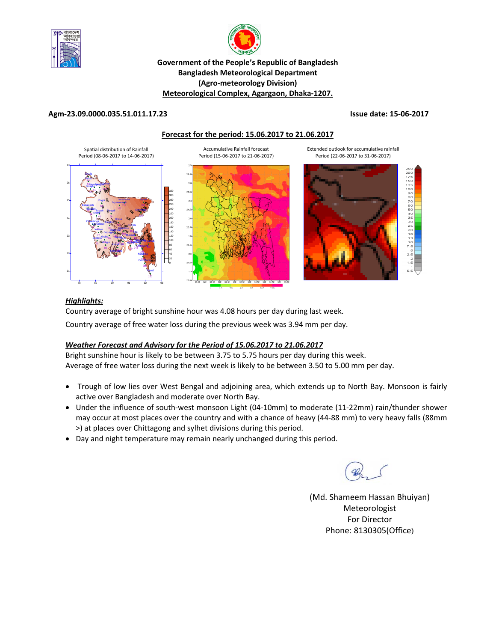



## **Government of the People's Republic of Bangladesh Bangladesh Meteorological Department (Agro‐meteorology Division) Meteorological Complex, Agargaon, Dhaka‐1207.**

#### **Agm‐23.09.0000.035.51.011.17.23 Issue date: 15‐06‐2017**

#### **Forecast for the period: 15.06.2017 to 21.06.2017**



#### *Highlights:*

Country average of bright sunshine hour was 4.08 hours per day during last week.

Country average of free water loss during the previous week was 3.94 mm per day.

## *Weather Forecast and Advisory for the Period of 15.06.2017 to 21.06.2017*

Bright sunshine hour is likely to be between 3.75 to 5.75 hours per day during this week. Average of free water loss during the next week is likely to be between 3.50 to 5.00 mm per day.

- Trough of low lies over West Bengal and adjoining area, which extends up to North Bay. Monsoon is fairly active over Bangladesh and moderate over North Bay.
- Under the influence of south-west monsoon Light (04-10mm) to moderate (11-22mm) rain/thunder shower may occur at most places over the country and with a chance of heavy (44‐88 mm) to very heavy falls (88mm >) at places over Chittagong and sylhet divisions during this period.
- Day and night temperature may remain nearly unchanged during this period.

(Md. Shameem Hassan Bhuiyan) Meteorologist For Director Phone: 8130305(Office)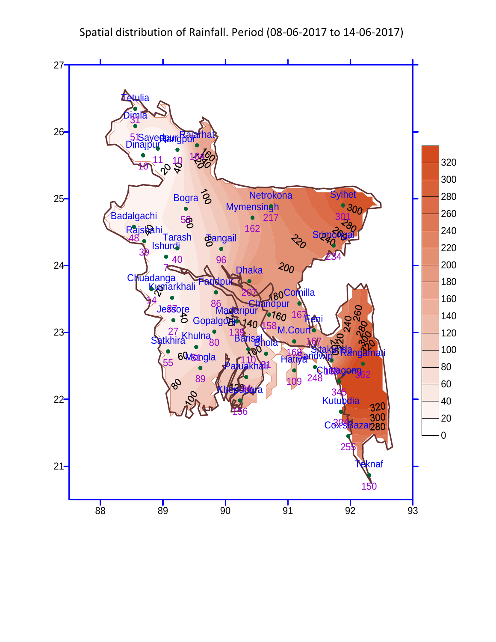Spatial distribution of Rainfall. Period (08‐06‐2017 to 14‐06‐2017)

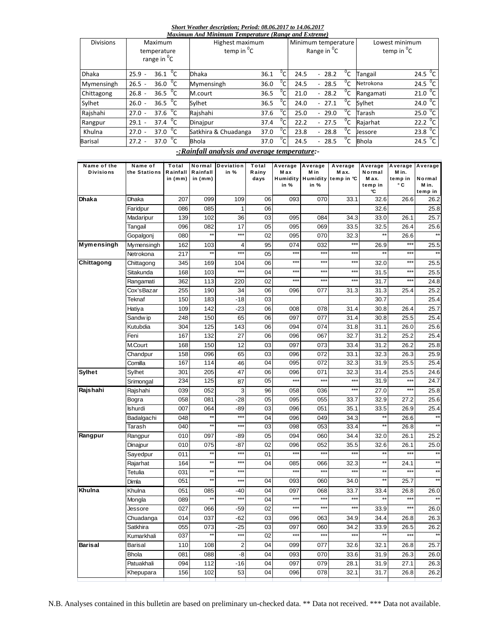#### *Short Weather description; Period: 08.06.2017 to 14.06.2017*

| Maximum And Minimum Temperature (Range and Extreme) |                                                          |                                      |      |                         |      |                                                |       |                                     |                     |  |  |
|-----------------------------------------------------|----------------------------------------------------------|--------------------------------------|------|-------------------------|------|------------------------------------------------|-------|-------------------------------------|---------------------|--|--|
| <b>Divisions</b>                                    | <b>Maximum</b><br>temperature<br>range in <sup>o</sup> C | Highest maximum<br>temp in ${}^{0}C$ |      |                         |      | Minimum temperature<br>Range in <sup>o</sup> C |       | Lowest minimum<br>temp in ${}^{0}C$ |                     |  |  |
| <b>Dhaka</b>                                        | $36.1^{0}C$<br>$25.9 -$                                  | <b>Dhaka</b>                         | 36.1 | $\overline{C}$          | 24.5 | $-28.2$                                        | °C    | Tangail                             | $24.5\text{ °C}$    |  |  |
| Mymensingh                                          | 36.0 <sup>o</sup> C<br>$26.5 -$                          | Mymensingh                           | 36.0 | $^0C$                   | 24.5 | $-28.5$                                        | °C    | Netrokona                           | 24.5 $^{\circ}$ C   |  |  |
| Chittagong                                          | 36.5 $\sqrt[6]{C}$<br>$26.8 -$                           | M.court                              | 36.5 |                         | 21.0 | $-28.2$                                        | $^0C$ | Rangamati                           | $21.0\degree$ C     |  |  |
| Sylhet                                              | 36.5 $\sqrt[6]{C}$<br>$26.0 -$                           | Sylhet                               | 36.5 | $^{\circ}$ C $^{\circ}$ | 24.0 | $-27.1$                                        | $^0C$ | Svlhet                              | 24.0 $^{\circ}$ C   |  |  |
| Rajshahi                                            | $37.6 \text{ } ^{\circ}C$<br>$27.0 -$                    | Rajshahi                             | 37.6 | $^{\circ}$ C i          | 25.0 | $-29.0$                                        | °C    | Tarash                              | 25.0 $\mathrm{^0C}$ |  |  |
| Rangpur                                             | 37.4 $^{0}C$<br>$29.1 -$                                 | Dinajpur                             | 37.4 | $^0C$                   | 22.2 | $-27.5$                                        | $^0C$ | Rajarhat                            | 22.2 $\mathrm{^0C}$ |  |  |
| Khulna                                              | 37.0 $^{0}C$<br>$27.0 -$                                 | Satkhira & Chuadanga                 | 37.0 | $^{0}C$                 | 23.8 | $-28.8$                                        | °C    | Jessore                             | 23.8 $^{\circ}$ C   |  |  |
| Barisal                                             | 37.0 $^{\circ}$ C<br>$27.2 -$                            | <b>Bhola</b>                         | 37.0 | $^{\circ}$ C i          | 24.5 | $-28.5$                                        | °c    | <b>Bhola</b>                        | $24.5\text{ °C}$    |  |  |

## *-:Rainfall analysis and average temperature:-*

| Name of the       | Name of        | Total                 | Normal              | <b>Deviation</b> | Total         | Average          | Average          | Average             | Average        | Average          | Average      |
|-------------------|----------------|-----------------------|---------------------|------------------|---------------|------------------|------------------|---------------------|----------------|------------------|--------------|
| <b>Divisions</b>  | the Stations   | Rainfall<br>in $(mm)$ | Rainfall<br>in (mm) | in %             | Rainy<br>days | M ax<br>Humidity | M in<br>Humidity | M ax.<br>temp in °C | Normal<br>Max. | M in.<br>temp in | Normal       |
|                   |                |                       |                     |                  |               | in %             | in %             |                     | temp in        | ۰c               | M in.        |
|                   |                |                       |                     |                  |               |                  |                  |                     | °C             |                  | temp in      |
| <b>Dhaka</b>      | Dhaka          | 207                   | 099                 | 109              | 06            | 093              | 070              | 33.1                | 32.6           | 26.6             | 26.2         |
|                   | Faridpur       | 086                   | 085                 | 1                | 06            |                  |                  |                     | 32.6           |                  | 25.8         |
|                   | Madaripur      | 139                   | 102                 | 36               | 03            | 095              | 084              | 34.3                | 33.0           | 26.1             | 25.7         |
|                   | Tangail        | 096                   | 082                 | 17               | 05            | 095              | 069              | 33.5                | 32.5           | 26.4             | 25.6         |
|                   | Gopalgonj      | 080                   | **                  | $***$            | 02            | 095              | 070              | 32.3                |                | 26.6             | $\star$      |
| <b>Mymensingh</b> | Mymensingh     | 162                   | 103                 | 4                | 95            | 074              | 032              | $***$               | 26.9           | $***$            | 25.5         |
|                   | Netrokona      | 217                   | $\star$             | $***$            | 05            | $***$            | $***$            | $***$               |                | ***              | $\star\star$ |
| Chittagong        | Chittagong     | 345                   | 169                 | 104              | 06            | $***$            | $***$            | $***$               | 32.0           | ***              | 25.5         |
|                   | Sitakunda      | 168                   | 103                 | $***$            | 04            | $***$            | $***$            | $***$               | 31.5           | ***              | 25.5         |
|                   | Rangamati      | 362                   | 113                 | 220              | 02            | $***$            | $***$            | $***$               | 31.7           | ***              | 24.8         |
|                   | Cox'sBazar     | 255                   | 190                 | 34               | 06            | 096              | 077              | 31.3                | 31.3           | 25.4             | 25.2         |
|                   | Teknaf         | 150                   | 183                 | $-18$            | 03            |                  |                  |                     | 30.7           |                  | 25.4         |
|                   | Hatiya         | 109                   | 142                 | $-23$            | 06            | 008              | 078              | 31.4                | 30.8           | 26.4             | 25.7         |
|                   | Sandw ip       | 248                   | 150                 | 65               | 06            | 097              | 077              | 31.4                | 30.8           | 25.5             | 25.4         |
|                   | Kutubdia       | 304                   | 125                 | 143              | 06            | 094              | 074              | 31.8                | 31.1           | 26.0             | 25.6         |
|                   | Feni           | 167                   | 132                 | 27               | 06            | 096              | 067              | 32.7                | 31.2           | 25.2             | 25.4         |
|                   | M.Court        | 168                   | 150                 | 12               | 03            | 097              | 073              | 33.4                | 31.2           | 26.2             | 25.8         |
|                   | Chandpur       | 158                   | 096                 | 65               | 03            | 096              | 072              | 33.1                | 32.3           | 26.3             | 25.9         |
|                   | Comilla        | 167                   | 114                 | 46               | 04            | 095              | 072              | 32.3                | 31.9           | 25.5             | 25.4         |
| <b>Sylhet</b>     | Sylhet         | 301                   | 205                 | 47               | 06            | 096              | 071              | 32.3                | 31.4           | 25.5             | 24.6         |
|                   | Srimongal      | 234                   | 125                 | 87               | 05            | $***$            | $***$            | $***$               | 31.9           | $***$            | 24.7         |
| Rajshahi          | Rajshahi       | 039                   | 052                 | 3                | 96            | 058              | 036              | $***$               | 27.0           | ***              | 25.8         |
|                   | Bogra          | 058                   | 081                 | $-28$            | 05            | 095              | 055              | 33.7                | 32.9           | 27.2             | 25.6         |
|                   | <b>Ishurdi</b> | 007                   | 064                 | -89              | 03            | 096              | 051              | 35.1                | 33.5           | 26.9             | 25.4         |
|                   | Badalgachi     | 048                   | $\star$             | $***$            | 04            | 096              | 049              | 34.3                | $\star\star$   | 26.6             | $\star$      |
|                   | Tarash         | 040                   | $\star\star$        | $***$            | 03            | 098              | 053              | 33.4                | $\star\star$   | 26.8             | $\star\star$ |
| Rangpur           | Rangpur        | 010                   | 097                 | -89              | 05            | 094              | 060              | 34.4                | 32.0           | 26.1             | 25.2         |
|                   | Dinajpur       | 010                   | 075                 | -87              | 02            | 096              | 052              | 35.5                | 32.6           | 26.1             | 25.0         |
|                   | Sayedpur       | 011                   | **                  | $***$            | 01            | $***$            | $***$            | ***                 | $*$            | ***              | $\star\star$ |
|                   | Rajarhat       | 164                   | **                  | $***$            | 04            | 085              | 066              | 32.3                |                | 24.1             |              |
|                   | Tetulia        | 031                   | ××                  | $***$            |               | $***$            | $***$            | ***                 | $\star$        | ***              | $\star\star$ |
|                   | Dimla          | 051                   | ÷.                  | $***$            | 04            | 093              | 060              | 34.0                |                | 25.7             |              |
| Khulna            | Khulna         | 051                   | 085                 | $-40$            | 04            | 097              | 068              | 33.7                | 33.4           | 26.8             | 26.0         |
|                   | Mongla         | 089                   | *,                  | $***$            | 04            | $***$            | $***$            | $***$               |                | ***              |              |
|                   | Jessore        | 027                   | 066                 | $-59$            | 02            | $***$            | $***$            | $\ddot{x}$          | 33.9           | ***              | 26.0         |
|                   | Chuadanga      | 014                   | 037                 | $-62$            | 03            | 096              | 063              | 34.9                | 34.4           | 26.8             | 26.3         |
|                   | Satkhira       | 055                   | 073                 | $-25$            | 03            | 097              | 060              | 34.2                | 33.9           | 26.5             | 26.2         |
|                   | Kumarkhali     | 037                   |                     | $***$            | 02            | $***$            | $***$            | $\ddot{x}$          |                | $***$            |              |
| <b>Barisal</b>    | <b>Barisal</b> | 110                   | 108                 | $\overline{2}$   | 04            | 099              | 077              | 32.6                | 32.1           | 26.8             | 25.7         |
|                   | <b>Bhola</b>   | 081                   | 088                 | -8               | 04            | 093              | 070              | 33.6                | 31.9           | 26.3             | 26.0         |
|                   | Patuakhali     | 094                   | 112                 | $-16$            | 04            | 097              | 079              | 28.1                | 31.9           | 27.1             | 26.3         |
|                   | Khepupara      | 156                   | 102                 | 53               | 04            | 096              | 078              | 32.1                | 31.7           | 26.8             | 26.2         |
|                   |                |                       |                     |                  |               |                  |                  |                     |                |                  |              |

N.B. Analyses contained in this bulletin are based on preliminary un-checked data. \*\* Data not received. \*\*\* Data not available.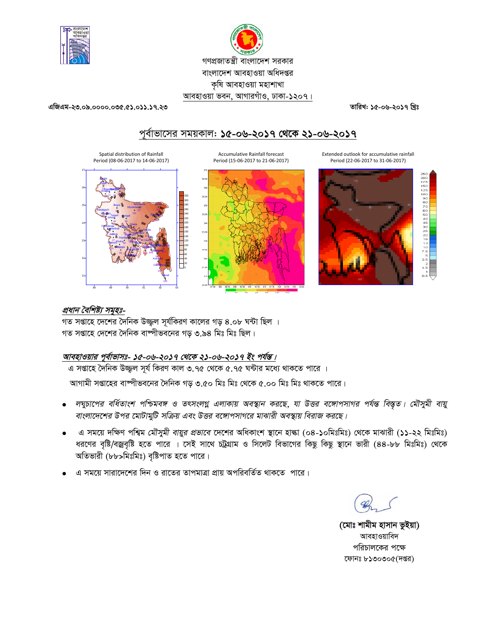



এজিএম-২৩.০৯.০০০০.০৩৫.৫১.০১১.১৭.২৩

তারিখ: ১৫-০৬-২০১৭ খ্রিঃ

# পূর্বাভাসের সময়কাল: ১৫-০৬-২০১৭ থেকে ২১-০৬-২০১৭







Extended outlook for accumulative rainfall Period (22-06-2017 to 31-06-2017)



# প্রধান বৈশিষ্ট্য সমূহঃ-

গত সপ্তাহে দেশের দৈনিক উজ্জল সূর্যকিরণ কালের গড় ৪.০৮ ঘন্টা ছিল । গত সপ্তাহে দেশের দৈনিক বাষ্পীভবনের গড় ৩.৯৪ মিঃ মিঃ ছিল।

## আবহাওয়ার পূর্বাভাসঃ- ১৫-০৬-২০১৭ থেকে ২১-০৬-২০১৭ ইং পর্যন্ত।

এ সপ্তাহে দৈনিক উজ্জল সর্য কিরণ কাল ৩.৭৫ থেকে ৫.৭৫ ঘন্টার মধ্যে থাকতে পারে ।

আগামী সপ্তাহের বাষ্পীভবনের দৈনিক গড় ৩.৫০ মিঃ মিঃ থেকে ৫.০০ মিঃ মিঃ থাকতে পারে।

- লঘুচাপের বর্ধিতাংশ পশ্চিমবঙ্গ ও তৎসংলগ্ন এলাকায় অবস্থান করছে, যা উত্তর বঙ্গোপসাগর পর্যন্ত বিস্তৃত। মৌসুমী বায়ু বাংলাদেশের উপর মোটামুটি সক্রিয় এবং উত্তর বঙ্গোপসাগরে মাঝারী অবস্থায় বিরাজ করছে।
- এ সময়ে দক্ষিণ পশ্বিম *মৌসুমী বায়ুর প্রভাবে* দেশের অধিকাংশ স্থানে হান্ধা (০৪-১০মিঃমিঃ) থেকে মাঝারী (১১-২২ মিঃমিঃ)  $\bullet$ ধরণের বৃষ্টি/বজ্রবৃষ্টি হতে পারে । সেই সাথে চট্রগ্রাম ও সিলেট বিভাগের কিছু কিছু স্থানে ভারী (৪৪-৮৮ মিঃমিঃ) থেকে অতিভারী (৮৮>মিঃমিঃ) বৃষ্টিপাত হতে পারে।
- এ সময়ে সারাদেশের দিন ও রাতের তাপমাত্রা প্রায় অপরিবর্তিত থাকতে পারে।

(মোঃ শামীম হাসান ভুইয়া) আবহাওয়াবিদ পরিচালকের পক্ষে ফোনঃ ৮১৩০৩০৫(দপ্তর)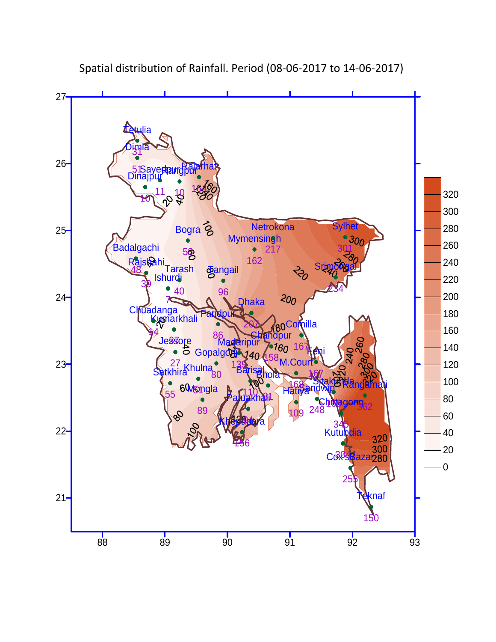

Spatial distribution of Rainfall. Period (08‐06‐2017 to 14‐06‐2017)